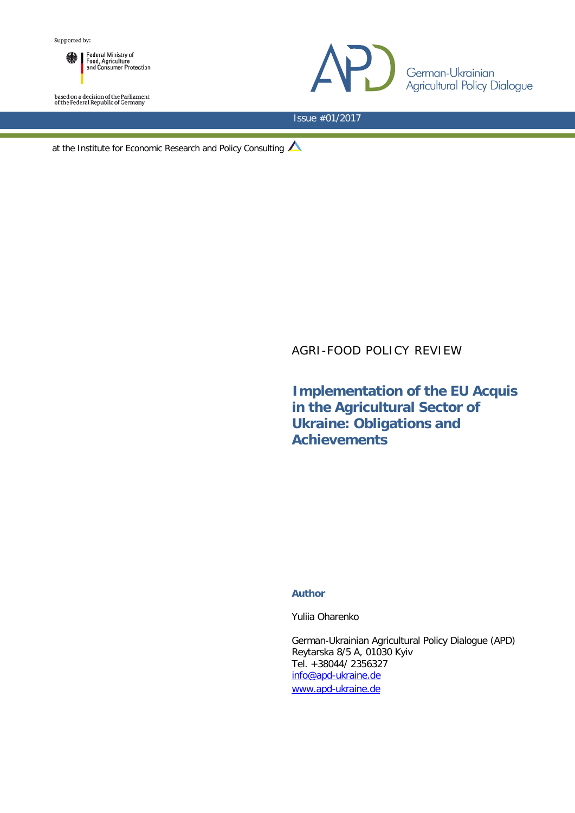Federal Ministry of<br>Food, Agriculture<br>and Consumer Protection

based on a decision of the Parliament<br>of the Federal Republic of Germany



Issue #01/2017

at the Institute for Economic Research and Policy Consulting

# AGRI-FOOD POLICY REVIEW

**Implementation of the EU Acquis in the Agricultural Sector of Ukraine: Obligations and Achievements** 

#### **Author**

Yuliia Oharenko

German-Ukrainian Agricultural Policy Dialogue (APD) Reytarska 8/5 A, 01030 Kyiv Tel. +38044/ 2356327 [info@apd-ukraine.de](mailto:info@apd-ukraine.de) [www.apd-ukraine.de](http://www.apd-ukraine.de/)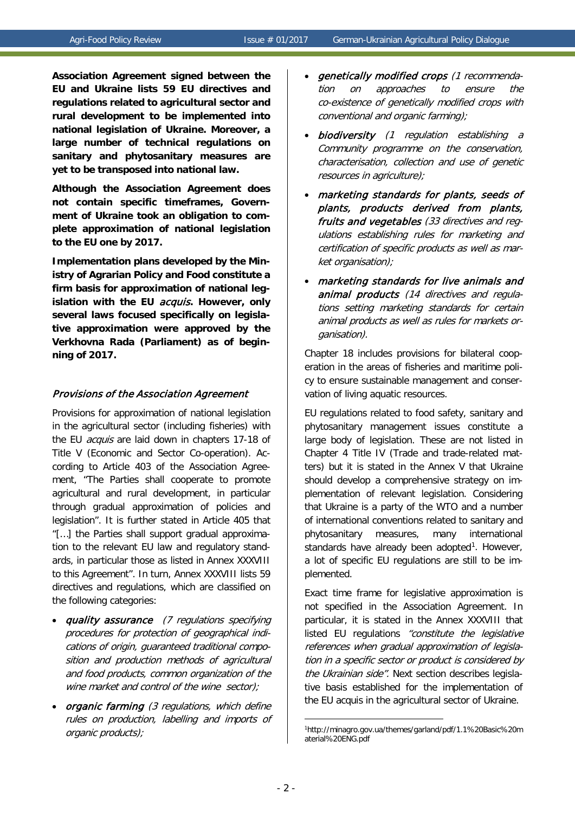**Association Agreement signed between the EU and Ukraine lists 59 EU directives and regulations related to agricultural sector and rural development to be implemented into national legislation of Ukraine. Moreover, a large number of technical regulations on sanitary and phytosanitary measures are yet to be transposed into national law.** 

**Although the Association Agreement does not contain specific timeframes, Government of Ukraine took an obligation to complete approximation of national legislation to the EU one by 2017.** 

**Implementation plans developed by the Ministry of Agrarian Policy and Food constitute a firm basis for approximation of national legislation with the EU** acquis**. However, only several laws focused specifically on legislative approximation were approved by the Verkhovna Rada (Parliament) as of beginning of 2017.** 

### Provisions of the Association Agreement

Provisions for approximation of national legislation in the agricultural sector (including fisheries) with the EU *acquis* are laid down in chapters 17-18 of Title V (Economic and Sector Co-operation). According to Article 403 of the Association Agreement, "The Parties shall cooperate to promote agricultural and rural development, in particular through gradual approximation of policies and legislation". It is further stated in Article 405 that "[…] the Parties shall support gradual approximation to the relevant EU law and regulatory standards, in particular those as listed in Annex XXXVIII to this Agreement". In turn, Annex XXXVIII lists 59 directives and regulations, which are classified on the following categories:

- quality assurance (7 regulations specifying procedures for protection of geographical indications of origin, guaranteed traditional composition and production methods of agricultural and food products, common organization of the wine market and control of the wine sector);
- <span id="page-1-0"></span>organic farming (3 regulations, which define rules on production, labelling and imports of organic products);
- genetically modified crops (1 recommendation on approaches to ensure the co-existence of genetically modified crops with conventional and organic farming);
- biodiversity (1 regulation establishing a Community programme on the conservation, characterisation, collection and use of genetic resources in agriculture);
- marketing standards for plants, seeds of plants, products derived from plants, fruits and vegetables (33 directives and regulations establishing rules for marketing and certification of specific products as well as market organisation);
- marketing standards for live animals and animal products (14 directives and regulations setting marketing standards for certain animal products as well as rules for markets organisation).

Chapter 18 includes provisions for bilateral cooperation in the areas of fisheries and maritime policy to ensure sustainable management and conservation of living aquatic resources.

EU regulations related to food safety, sanitary and phytosanitary management issues constitute a large body of legislation. These are not listed in Chapter 4 Title IV (Trade and trade-related matters) but it is stated in the Annex V that Ukraine should develop a comprehensive strategy on implementation of relevant legislation. Considering that Ukraine is a party of the WTO and a number of international conventions related to sanitary and phytosanitary measures, many international standards have already been adopted<sup>1</sup>. However, a lot of specific EU regulations are still to be implemented.

Exact time frame for legislative approximation is not specified in the Association Agreement. In particular, it is stated in the Annex XXXVIII that listed EU regulations "constitute the legislative references when gradual approximation of legislation in a specific sector or product is considered by the Ukrainian side". Next section describes legislative basis established for the implementation of the EU acquis in the agricultural sector of Ukraine.

<u>.</u>

<sup>1</sup> http://minagro.gov.ua/themes/garland/pdf/1.1%20Basic%20m aterial%20ENG.pdf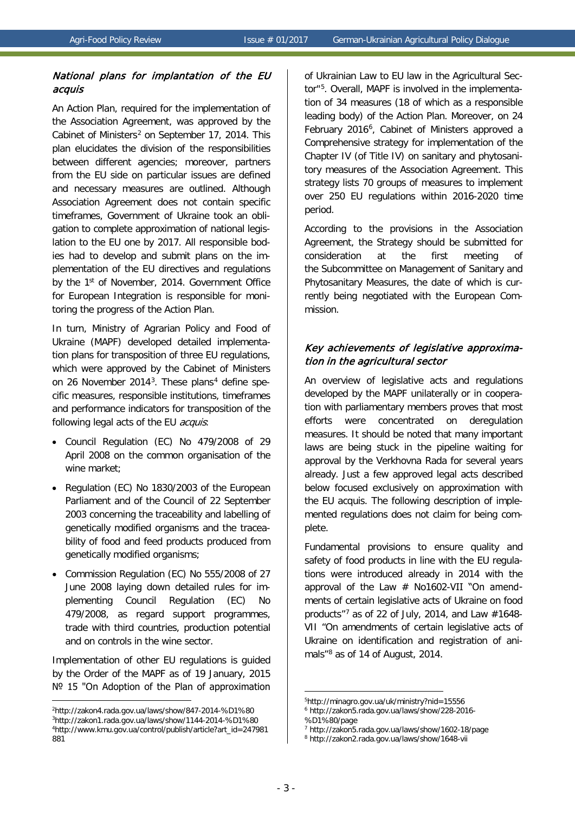### National plans for implantation of the EU acquis

An Action Plan, required for the implementation of the Association Agreement, was approved by the Cabinet of Ministers<sup>[2](#page-2-0)</sup> on September 17, 2014. This plan elucidates the division of the responsibilities between different agencies; moreover, partners from the EU side on particular issues are defined and necessary measures are outlined. Although Association Agreement does not contain specific timeframes, Government of Ukraine took an obligation to complete approximation of national legislation to the EU one by 2017. All responsible bodies had to develop and submit plans on the implementation of the EU directives and regulations by the 1<sup>st</sup> of November, 2014. Government Office for European Integration is responsible for monitoring the progress of the Action Plan.

In turn, Ministry of Agrarian Policy and Food of Ukraine (MAPF) developed detailed implementation plans for transposition of three EU regulations, which were approved by the Cabinet of Ministers on 26 November 201[4](#page-2-2)<sup>3</sup>. These plans<sup>4</sup> define specific measures, responsible institutions, timeframes and performance indicators for transposition of the following legal acts of the EU *acquis*:

- Council Regulation (EC) No 479/2008 of 29 April 2008 on the common organisation of the wine market;
- Regulation (EC) No 1830/2003 of the European Parliament and of the Council of 22 September 2003 concerning the traceability and labelling of genetically modified organisms and the traceability of food and feed products produced from genetically modified organisms;
- Commission Regulation (EC) No 555/2008 of 27 June 2008 laying down detailed rules for implementing Council Regulation (EC) No 479/2008, as regard support programmes, trade with third countries, production potential and on controls in the wine sector.

Implementation of other EU regulations is guided by the Order of the MAPF as of 19 January, 2015 № 15 "On Adoption of the Plan of approximation

-

of Ukrainian Law to EU law in the Agricultural Sector"[5.](#page-2-3) Overall, MAPF is involved in the implementation of 34 measures (18 of which as a responsible leading body) of the Action Plan. Moreover, on 24 February 201[6](#page-2-0)<sup>6</sup>, Cabinet of Ministers approved a Comprehensive strategy for implementation of the Chapter IV (of Title IV) on sanitary and phytosanitory measures of the Association Agreement. This strategy lists 70 groups of measures to implement over 250 EU regulations within 2016-2020 time period.

According to the provisions in the Association Agreement, the Strategy should be submitted for consideration at the first meeting of the Subcommittee on Management of Sanitary and Phytosanitary Measures, the date of which is currently being negotiated with the European Commission.

## Key achievements of legislative approximation in the agricultural sector

An overview of legislative acts and regulations developed by the MAPF unilaterally or in cooperation with parliamentary members proves that most efforts were concentrated on deregulation measures. It should be noted that many important laws are being stuck in the pipeline waiting for approval by the Verkhovna Rada for several years already. Just a few approved legal acts described below focused exclusively on approximation with the EU acquis. The following description of implemented regulations does not claim for being complete.

Fundamental provisions to ensure quality and safety of food products in line with the EU regulations were introduced already in 2014 with the approval of the Law  $#$  No1602-VII "On amendments of certain legislative acts of Ukraine on food products"<sup>[7](#page-2-2)</sup> as of 22 of July, 2014, and Law  $#1648$ -VII "On amendments of certain legislative acts of Ukraine on identification and registration of ani-mals"<sup>[8](#page-2-4)</sup> as of 14 of August, 2014.

<span id="page-2-4"></span><span id="page-2-3"></span><span id="page-2-2"></span><span id="page-2-1"></span><span id="page-2-0"></span><sup>2</sup> http://zakon4.rada.gov.ua/laws/show/847-2014-%D1%80 3 http://zakon1.rada.gov.ua/laws/show/1144-2014-%D1%80 4 http://www.kmu.gov.ua/control/publish/article?art\_id=247981 881

<sup>5</sup> http://minagro.gov.ua/uk/ministry?nid=15556 <sup>6</sup> http://zakon5.rada.gov.ua/laws/show/228-2016- %D1%80/page

<sup>7</sup> http://zakon5.rada.gov.ua/laws/show/1602-18/page

<sup>8</sup> http://zakon2.rada.gov.ua/laws/show/1648-vii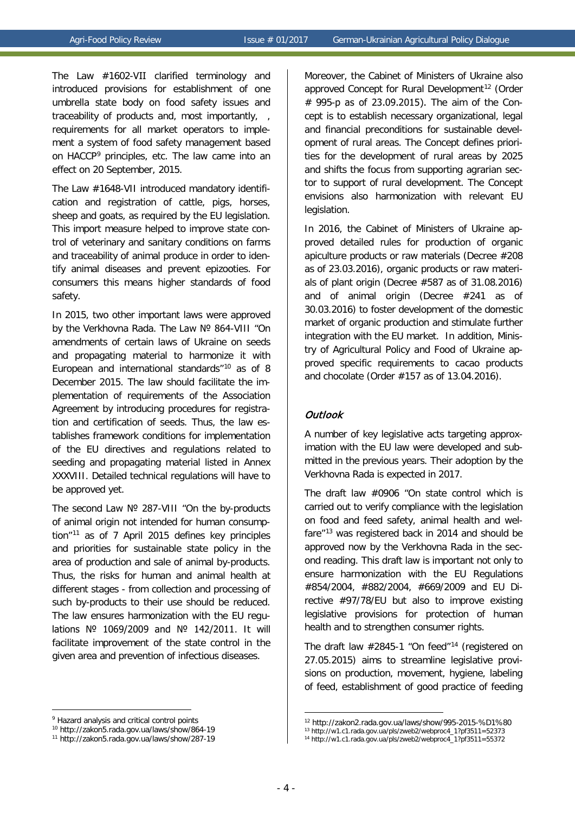The Law #1602-VIІ clarified terminology and introduced provisions for establishment of one umbrella state body on food safety issues and traceability of products and, most importantly, , requirements for all market operators to implement a system of food safety management based on HACCP[9](#page-3-0) principles, etc. The law came into an effect on 20 September, 2015.

The Law #1648-VII introduced mandatory identification and registration of cattle, pigs, horses, sheep and goats, as required by the EU legislation. This import measure helped to improve state control of veterinary and sanitary conditions on farms and traceability of animal produce in order to identify animal diseases and prevent epizooties. For consumers this means higher standards of food safety.

In 2015, two other important laws were approved by the Verkhovna Rada. The Law № 864-VIII "On amendments of certain laws of Ukraine on seeds and propagating material to harmonize it with European and international standards<sup>"[10](#page-3-1)</sup> as of 8 December 2015. The law should facilitate the implementation of requirements of the Association Agreement by introducing procedures for registration and certification of seeds. Thus, the law establishes framework conditions for implementation of the EU directives and regulations related to seeding and propagating material listed in Annex XXXVIII. Detailed technical regulations will have to be approved yet.

The second Law № 287-VIII "On the by-products of animal origin not intended for human consumption"[11](#page-3-2) as of 7 April 2015 defines key principles and priorities for sustainable state policy in the area of production and sale of animal by-products. Thus, the risks for human and animal health at different stages - from collection and processing of such by-products to their use should be reduced. The law ensures harmonization with the EU regulations № 1069/2009 and № 142/2011. It will facilitate improvement of the state control in the given area and prevention of infectious diseases.

<u>.</u>

Moreover, the Cabinet of Ministers of Ukraine also approved Concept for Rural Development<sup>[12](#page-3-3)</sup> (Order # 995-р as of 23.09.2015). The aim of the Concept is to establish necessary organizational, legal and financial preconditions for sustainable development of rural areas. The Concept defines priorities for the development of rural areas by 2025 and shifts the focus from supporting agrarian sector to support of rural development. The Concept envisions also harmonization with relevant EU legislation.

In 2016, the Cabinet of Ministers of Ukraine approved detailed rules for production of organic apiculture products or raw materials (Decree #208 as of 23.03.2016), organic products or raw materials of plant origin (Decree #587 as of 31.08.2016) and of animal origin (Decree #241 as of 30.03.2016) to foster development of the domestic market of organic production and stimulate further integration with the EU market. In addition, Ministry of Agricultural Policy and Food of Ukraine approved specific requirements to cacao products and chocolate (Order #157 as of 13.04.2016).

### **Outlook**

A number of key legislative acts targeting approximation with the EU law were developed and submitted in the previous years. Their adoption by the Verkhovna Rada is expected in 2017.

The draft law #0906 "On state control which is carried out to verify compliance with the legislation on food and feed safety, animal health and welfare"[13](#page-3-4) was registered back in 2014 and should be approved now by the Verkhovna Rada in the second reading. This draft law is important not only to ensure harmonization with the EU Regulations #854/2004, #882/2004, #669/2009 and EU Directive #97/78/EU but also to improve existing legislative provisions for protection of human health and to strengthen consumer rights.

The draft law #2845-1 "On feed"[14](#page-3-2) (registered on 27.05.2015) aims to streamline legislative provisions on production, movement, hygiene, labeling of feed, establishment of good practice of feeding

<span id="page-3-3"></span><span id="page-3-0"></span><sup>&</sup>lt;sup>9</sup> Hazard analysis and critical control points

<span id="page-3-4"></span><span id="page-3-1"></span><sup>10</sup> http://zakon5.rada.gov.ua/laws/show/864-19

<span id="page-3-2"></span><sup>11</sup> http://zakon5.rada.gov.ua/laws/show/287-19

<sup>12</sup> http://zakon2.rada.gov.ua/laws/show/995-2015-%D1%80

<sup>13</sup> http://w1.c1.rada.gov.ua/pls/zweb2/webproc4\_1?pf3511=52373

<sup>14</sup> http://w1.c1.rada.gov.ua/pls/zweb2/webproc4\_1?pf3511=55372